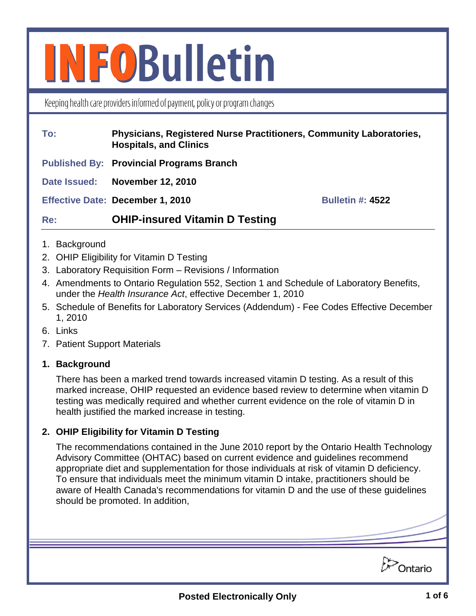# **INFOBulletin**

Keeping health care providers informed of payment, policy or program changes

#### **To: Physicians, Registered Nurse Practitioners, Community Laboratories, Hospitals, and Clinics**

**Published By: Provincial Programs Branch**

**Date Issued: November 12, 2010**

**Effective Date: December 1, 2010 Bulletin #: 4522** 

# **Re: OHIP-insured Vitamin D Testing**

- 1. Background
- 2. OHIP Eligibility for Vitamin D Testing
- 3. Laboratory Requisition Form Revisions / Information
- 4. Amendments to Ontario Regulation 552, Section 1 and Schedule of Laboratory Benefits, under the *Health Insurance Act*, effective December 1, 2010
- 5. Schedule of Benefits for Laboratory Services (Addendum) Fee Codes Effective December 1, 2010
- 6. Links
- 7. Patient Support Materials

# **1. Background**

There has been a marked trend towards increased vitamin D testing. As a result of this marked increase, OHIP requested an evidence based review to determine when vitamin D testing was medically required and whether current evidence on the role of vitamin D in health justified the marked increase in testing.

# **2. OHIP Eligibility for Vitamin D Testing**

The recommendations contained in the June 2010 report by the Ontario Health Technology Advisory Committee (OHTAC) based on current evidence and guidelines recommend appropriate diet and supplementation for those individuals at risk of vitamin D deficiency. To ensure that individuals meet the minimum vitamin D intake, practitioners should be aware of Health Canada's recommendations for vitamin D and the use of these guidelines should be promoted. In addition,

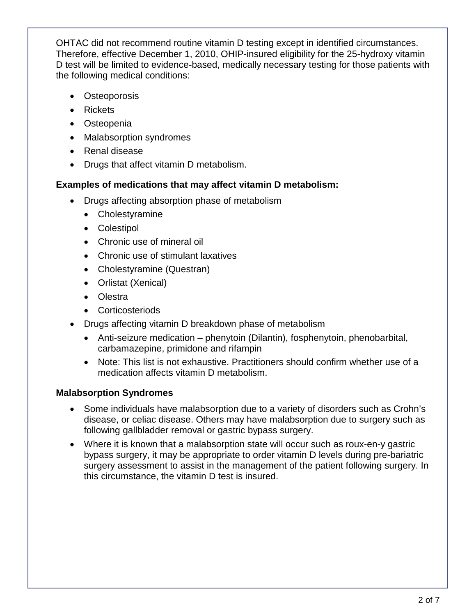OHTAC did not recommend routine vitamin D testing except in identified circumstances. Therefore, effective December 1, 2010, OHIP-insured eligibility for the 25-hydroxy vitamin D test will be limited to evidence-based, medically necessary testing for those patients with the following medical conditions:

- Osteoporosis
- Rickets
- Osteopenia
- Malabsorption syndromes
- Renal disease
- Drugs that affect vitamin D metabolism.

# **Examples of medications that may affect vitamin D metabolism:**

- Drugs affecting absorption phase of metabolism
	- Cholestyramine
	- Colestipol
	- Chronic use of mineral oil
	- Chronic use of stimulant laxatives
	- Cholestyramine (Questran)
	- Orlistat (Xenical)
	- Olestra
	- Corticosteriods
- Drugs affecting vitamin D breakdown phase of metabolism
	- Anti-seizure medication phenytoin (Dilantin), fosphenytoin, phenobarbital, carbamazepine, primidone and rifampin
	- Note: This list is not exhaustive. Practitioners should confirm whether use of a medication affects vitamin D metabolism.

# **Malabsorption Syndromes**

- Some individuals have malabsorption due to a variety of disorders such as Crohn's disease, or celiac disease. Others may have malabsorption due to surgery such as following gallbladder removal or gastric bypass surgery.
- Where it is known that a malabsorption state will occur such as roux-en-y gastric bypass surgery, it may be appropriate to order vitamin D levels during pre-bariatric surgery assessment to assist in the management of the patient following surgery. In this circumstance, the vitamin D test is insured.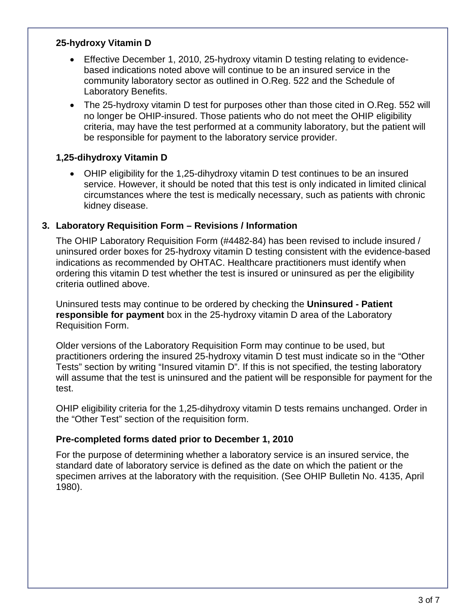### **25-hydroxy Vitamin D**

- Effective December 1, 2010, 25-hydroxy vitamin D testing relating to evidencebased indications noted above will continue to be an insured service in the community laboratory sector as outlined in O.Reg. 522 and the Schedule of Laboratory Benefits.
- The 25-hydroxy vitamin D test for purposes other than those cited in O.Req. 552 will no longer be OHIP-insured. Those patients who do not meet the OHIP eligibility criteria, may have the test performed at a community laboratory, but the patient will be responsible for payment to the laboratory service provider.

#### **1,25-dihydroxy Vitamin D**

• OHIP eligibility for the 1,25-dihydroxy vitamin D test continues to be an insured service. However, it should be noted that this test is only indicated in limited clinical circumstances where the test is medically necessary, such as patients with chronic kidney disease.

#### **3. Laboratory Requisition Form – Revisions / Information**

The OHIP Laboratory Requisition Form (#4482-84) has been revised to include insured / uninsured order boxes for 25-hydroxy vitamin D testing consistent with the evidence-based indications as recommended by OHTAC. Healthcare practitioners must identify when ordering this vitamin D test whether the test is insured or uninsured as per the eligibility criteria outlined above.

Uninsured tests may continue to be ordered by checking the **Uninsured - Patient responsible for payment** box in the 25-hydroxy vitamin D area of the Laboratory Requisition Form.

Older versions of the Laboratory Requisition Form may continue to be used, but practitioners ordering the insured 25-hydroxy vitamin D test must indicate so in the "Other Tests" section by writing "Insured vitamin D". If this is not specified, the testing laboratory will assume that the test is uninsured and the patient will be responsible for payment for the test.

OHIP eligibility criteria for the 1,25-dihydroxy vitamin D tests remains unchanged. Order in the "Other Test" section of the requisition form.

#### **Pre-completed forms dated prior to December 1, 2010**

For the purpose of determining whether a laboratory service is an insured service, the standard date of laboratory service is defined as the date on which the patient or the specimen arrives at the laboratory with the requisition. (See OHIP Bulletin No. 4135, April 1980).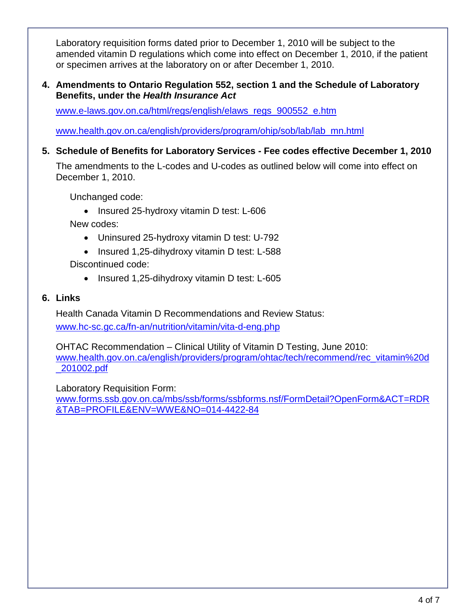Laboratory requisition forms dated prior to December 1, 2010 will be subject to the amended vitamin D regulations which come into effect on December 1, 2010, if the patient or specimen arrives at the laboratory on or after December 1, 2010.

#### **4. Amendments to Ontario Regulation 552, section 1 and the Schedule of Laboratory Benefits, under the** *Health Insurance Act*

[www.e-laws.gov.on.ca/html/regs/english/elaws\\_regs\\_900552\\_e.htm](http://www.e-laws.gov.on.ca/html/regs/english/elaws_regs_900552_e.htm) 

[www.health.gov.on.ca/english/providers/program/ohip/sob/lab/lab\\_mn.html](http://www.health.gov.on.ca/english/providers/program/ohip/sob/lab/lab_mn.html) 

**5. Schedule of Benefits for Laboratory Services - Fee codes effective December 1, 2010**

The amendments to the L-codes and U-codes as outlined below will come into effect on December 1, 2010.

Unchanged code:

• Insured 25-hydroxy vitamin D test: L-606

New codes:

- Uninsured 25-hydroxy vitamin D test: U-792
- Insured 1,25-dihydroxy vitamin D test: L-588

Discontinued code:

• Insured 1,25-dihydroxy vitamin D test: L-605

#### **6. Links**

Health Canada Vitamin D Recommendations and Review Status: [www.hc-sc.gc.ca/fn-an/nutrition/vitamin/vita-d-eng.php](http://www.hc-sc.gc.ca/fn-an/nutrition/vitamin/vita-d-eng.php)

OHTAC Recommendation – Clinical Utility of Vitamin D Testing, June 2010: [www.health.gov.on.ca/english/providers/program/ohtac/tech/recommend/rec\\_vitamin%20d](http://www.health.gov.on.ca/english/providers/program/ohtac/tech/recommend/rec_vitamin%20d_201002.pdf) [\\_201002.pdf](http://www.health.gov.on.ca/english/providers/program/ohtac/tech/recommend/rec_vitamin%20d_201002.pdf) 

Laboratory Requisition Form: [www.forms.ssb.gov.on.ca/mbs/ssb/forms/ssbforms.nsf/FormDetail?OpenForm&ACT=RDR](http://www.forms.ssb.gov.on.ca/mbs/ssb/forms/ssbforms.nsf/FormDetail?OpenForm&ACT=RDR&TAB=PROFILE&ENV=WWE&NO=014-4422-84) [&TAB=PROFILE&ENV=WWE&NO=014-4422-84](http://www.forms.ssb.gov.on.ca/mbs/ssb/forms/ssbforms.nsf/FormDetail?OpenForm&ACT=RDR&TAB=PROFILE&ENV=WWE&NO=014-4422-84)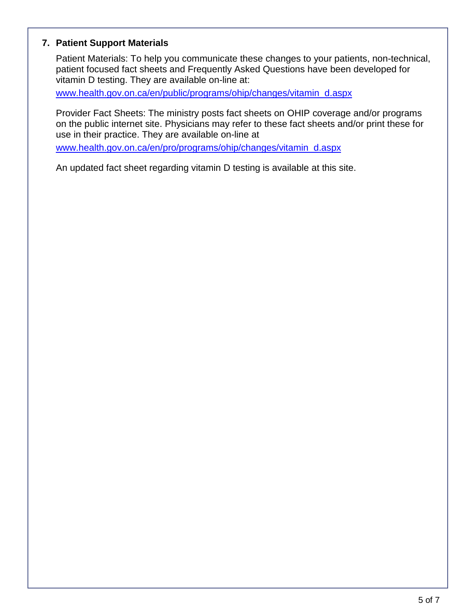### **7. Patient Support Materials**

Patient Materials: To help you communicate these changes to your patients, non-technical, patient focused fact sheets and Frequently Asked Questions have been developed for vitamin D testing. They are available on-line at:

[www.health.gov.on.ca/en/public/programs/ohip/changes/vitamin\\_d.aspx](http://www.health.gov.on.ca/en/public/programs/ohip/changes/vitamin_d.aspx)

Provider Fact Sheets: The ministry posts fact sheets on OHIP coverage and/or programs on the public internet site. Physicians may refer to these fact sheets and/or print these for use in their practice. They are available on-line at

[www.health.gov.on.ca/en/pro/programs/ohip/changes/vitamin\\_d.aspx](http://www.health.gov.on.ca/en/pro/programs/ohip/changes/vitamin_d.aspx)

An updated fact sheet regarding vitamin D testing is available at this site.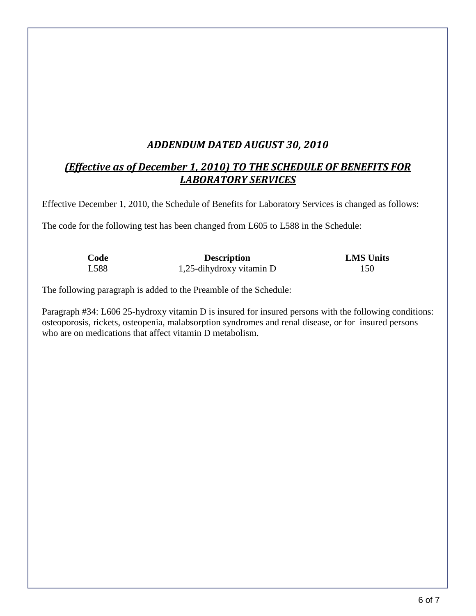# *ADDENDUM DATED AUGUST 30, 2010*

# *(Effective as of December 1, 2010) TO THE SCHEDULE OF BENEFITS FOR LABORATORY SERVICES*

Effective December 1, 2010, the Schedule of Benefits for Laboratory Services is changed as follows:

The code for the following test has been changed from L605 to L588 in the Schedule:

| Code | <b>Description</b>       | <b>LMS</b> Units |
|------|--------------------------|------------------|
| L588 | 1,25-dihydroxy vitamin D | 150              |

The following paragraph is added to the Preamble of the Schedule:

Paragraph #34: L606 25-hydroxy vitamin D is insured for insured persons with the following conditions: osteoporosis, rickets, osteopenia, malabsorption syndromes and renal disease, or for insured persons who are on medications that affect vitamin D metabolism.